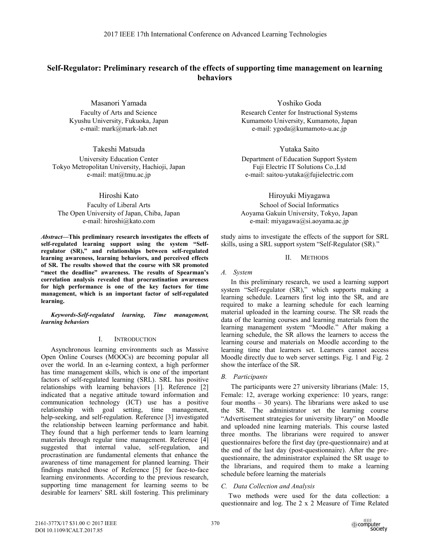# **Self-Regulator: Preliminary research of the effects of supporting time management on learning behaviors**

Masanori Yamada Faculty of Arts and Science Kyushu University, Fukuoka, Japan e-mail: mark@mark-lab.net

Takeshi Matsuda University Education Center Tokyo Metropolitan University, Hachioji, Japan e-mail: mat@tmu.ac.jp

Hiroshi Kato Faculty of Liberal Arts The Open University of Japan, Chiba, Japan e-mail: hiroshi@kato.com

*Abstract***—This preliminary research investigates the effects of self-regulated learning support using the system "Selfregulator (SR)," and relationships between self-regulated learning awareness, learning behaviors, and perceived effects of SR. The results showed that the course with SR promoted "meet the deadline" awareness. The results of Spearman's correlation analysis revealed that procrastination awareness for high performance is one of the key factors for time management, which is an important factor of self-regulated learning.** 

*Keywords-Self-regulated learning, Time management, learning behaviors* 

#### I. INTRODUCTION

Asynchronous learning environments such as Massive Open Online Courses (MOOCs) are becoming popular all over the world. In an e-learning context, a high performer has time management skills, which is one of the important factors of self-regulated learning (SRL). SRL has positive relationships with learning behaviors [1]. Reference [2] indicated that a negative attitude toward information and communication technology (ICT) use has a positive relationship with goal setting, time management, help-seeking, and self-regulation. Reference [3] investigated the relationship between learning performance and habit. They found that a high performer tends to learn learning materials through regular time management. Reference [4] suggested that internal value, self-regulation, and procrastination are fundamental elements that enhance the awareness of time management for planned learning. Their findings matched those of Reference [5] for face-to-face learning environments. According to the previous research, supporting time management for learning seems to be desirable for learners' SRL skill fostering. This preliminary

Yoshiko Goda

Research Center for Instructional Systems Kumamoto University, Kumamoto, Japan e-mail: ygoda@kumamoto-u.ac.jp

Yutaka Saito

Department of Education Support System Fuji Electric IT Solutions Co.,Ltd e-mail: saitou-yutaka@fujielectric.com

Hiroyuki Miyagawa School of Social Informatics Aoyama Gakuin University, Tokyo, Japan e-mail: miyagawa@si.aoyama.ac.jp

study aims to investigate the effects of the support for SRL skills, using a SRL support system "Self-Regulator (SR)."

# II. METHODS

### *A. System*

In this preliminary research, we used a learning support system "Self-regulator (SR)," which supports making a learning schedule. Learners first log into the SR, and are required to make a learning schedule for each learning material uploaded in the learning course. The SR reads the data of the learning courses and learning materials from the learning management system "Moodle." After making a learning schedule, the SR allows the learners to access the learning course and materials on Moodle according to the learning time that learners set. Learners cannot access Moodle directly due to web server settings. Fig. 1 and Fig. 2 show the interface of the SR.

# *B. Participants*

The participants were 27 university librarians (Male: 15, Female: 12, average working experience: 10 years, range: four months – 30 years). The librarians were asked to use the SR. The administrator set the learning course "Advertisement strategies for university library" on Moodle and uploaded nine learning materials. This course lasted three months. The librarians were required to answer questionnaires before the first day (pre-questionnaire) and at the end of the last day (post-questionnaire). After the prequestionnaire, the administrator explained the SR usage to the librarians, and required them to make a learning schedule before learning the materials

# *C. Data Collection and Analysis*

Two methods were used for the data collection: a questionnaire and log. The 2 x 2 Measure of Time Related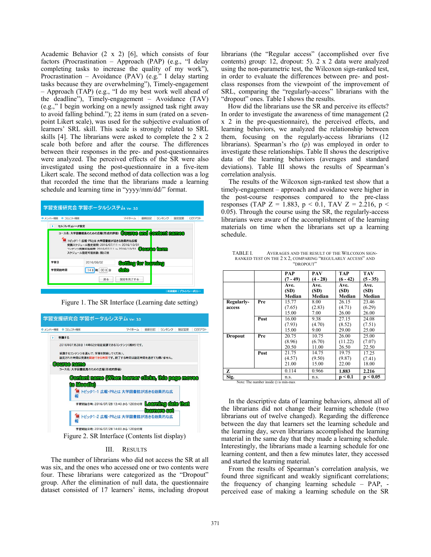Academic Behavior (2 x 2) [6], which consists of four factors (Procrastination – Approach (PAP) (e.g., "I delay completing tasks to increase the quality of my work"), Procrastination – Avoidance (PAV) (e.g." I delay starting tasks because they are overwhelming"), Timely-engagement – Approach (TAP) (e.g., "I do my best work well ahead of the deadline"), Timely-engagement – Avoidance (TAV) (e.g.," I begin working on a newly assigned task right away to avoid falling behind."); 22 items in sum (rated on a sevenpoint Likert scale), was used for the subjective evaluation of learners' SRL skill. This scale is strongly related to SRL skills [4]. The librarians were asked to complete the 2 x 2 scale both before and after the course. The differences between their responses in the pre- and post-questionnaires were analyzed. The perceived effects of the SR were also investigated using the post-questionnaire in a five-item Likert scale. The second method of data collection was a log that recorded the time that the librarians made a learning schedule and learning time in "yyyy/mm/dd/" format.



Figure 1. The SR Interface (Learning date setting)



Figure 2. SR Interface (Contents list display)

#### III. RESULTS

The number of librarians who did not access the SR at all was six, and the ones who accessed one or two contents were four. These librarians were categorized as the "Dropout" group. After the elimination of null data, the questionnaire dataset consisted of 17 learners' items, including dropout librarians (the "Regular access" (accomplished over five contents) group: 12, dropout: 5). 2 x 2 data were analyzed using the non-parametric test, the Wilcoxon sign-ranked test, in order to evaluate the differences between pre- and postclass responses from the viewpoint of the improvement of SRL, comparing the "regularly-access" librarians with the "dropout" ones. Table I shows the results.

 How did the librarians use the SR and perceive its effects? In order to investigate the awareness of time management (2 x 2 in the pre-questionnaire), the perceived effects, and learning behaviors, we analyzed the relationship between them, focusing on the regularly-access librarians (12 librarians). Spearman's rho  $(\rho)$  was employed in order to investigate these relationships. Table II shows the descriptive data of the learning behaviors (averages and standard deviations). Table III shows the results of Spearman's correlation analysis.

The results of the Wilcoxon sign-ranked test show that a timely-engagement – approach and avoidance were higher in the post-course responses compared to the pre-class responses (TAP Z = 1.883,  $p < 0.1$ , TAV Z = 2.216,  $p <$ 0.05). Through the course using the SR, the regularly-access librarians were aware of the accomplishment of the learning materials on time when the librarians set up a learning schedule.

|                                       |      | <b>PAP</b> | PAV        | TAP        | TAV        |  |
|---------------------------------------|------|------------|------------|------------|------------|--|
|                                       |      | $(7 - 49)$ | $(4 - 28)$ | $(6 - 42)$ | $(5 - 35)$ |  |
|                                       |      | Ave.       | Ave.       | Ave.       | Ave.       |  |
|                                       |      | (SD)       | (SD)       | (SD)       | (SD)       |  |
|                                       |      | Median     | Median     | Median     | Median     |  |
| Regularly-                            | Pre  | 15.77      | 8.00       | 26.15      | 23.46      |  |
| access                                |      | (7.65)     | (2.83)     | (4.71)     | (6.29)     |  |
|                                       |      | 15.00      | 7.00       | 26.00      | 26.00      |  |
|                                       | Post | 16.00      | 9.38       | 27.15      | 24.08      |  |
|                                       |      | (7.93)     | (4.70)     | (8.52)     | (7.51)     |  |
|                                       |      | 15.00      | 9.00       | 29.00      | 25.00      |  |
| <b>Dropout</b>                        | Pre  | 20.75      | 10.75      | 26.00      | 25.00      |  |
|                                       |      | (8.96)     | (6.70)     | (11.22)    | (7.07)     |  |
|                                       |      | 20.50      | 11.00      | 26.50      | 22.50      |  |
|                                       | Post | 21.75      | 14.75      | 19.75      | 17.25      |  |
|                                       |      | (4.57)     | (9.50)     | (9.87)     | (7.41)     |  |
|                                       |      | 21.00      | 15.00      | 22.00      | 18.00      |  |
| Z                                     |      | 0.114      | 0.966      | 1.883      | 2.216      |  |
| Sig.                                  |      | n.s.       | n.s.       | p < 0.1    | p < 0.05   |  |
| Note: The number inside () is min-max |      |            |            |            |            |  |

TABLE I. AVERAGES AND THE RESULT OF THE WILCOXON SIGN-RANKED TEST ON THE 2 X 2, COMPARING "REGULARLY ACCESS" AND "DROPOUT"

In the descriptive data of learning behaviors, almost all of the librarians did not change their learning schedule (two librarians out of twelve changed). Regarding the difference between the day that learners set the learning schedule and the learning day, seven librarians accomplished the learning material in the same day that they made a learning schedule. Interestingly, the librarians made a learning schedule for one learning content, and then a few minutes later, they accessed and started the learning material.

From the results of Spearman's correlation analysis, we found three significant and weakly significant correlations; the frequency of changing learning schedule – PAP, perceived ease of making a learning schedule on the SR